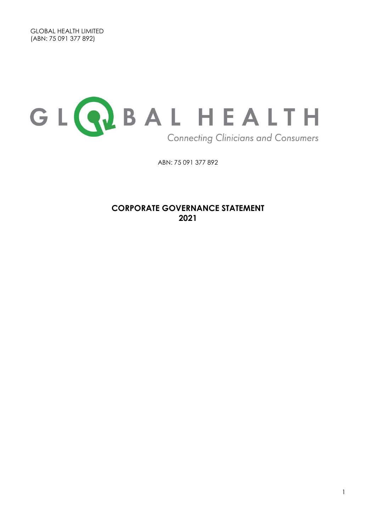

ABN: 75 091 377 892

**CORPORATE GOVERNANCE STATEMENT 2021**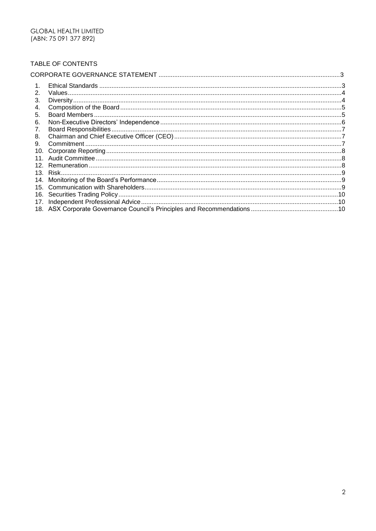#### TABLE OF CONTENTS

| 2              |  |
|----------------|--|
| 3.             |  |
| 4.             |  |
| 5.             |  |
| 6.             |  |
| 7 <sub>1</sub> |  |
| 8.             |  |
| 9.             |  |
| 10.            |  |
|                |  |
|                |  |
|                |  |
|                |  |
|                |  |
|                |  |
|                |  |
|                |  |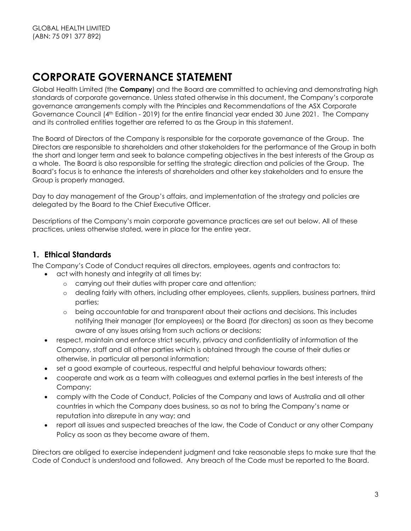# **CORPORATE GOVERNANCE STATEMENT**

<span id="page-2-0"></span>Global Health Limited (the **Company**) and the Board are committed to achieving and demonstrating high standards of corporate governance. Unless stated otherwise in this document, the Company's corporate governance arrangements comply with the Principles and Recommendations of the ASX Corporate Governance Council (4th Edition - 2019) for the entire financial year ended 30 June 2021. The Company and its controlled entities together are referred to as the Group in this statement.

The Board of Directors of the Company is responsible for the corporate governance of the Group. The Directors are responsible to shareholders and other stakeholders for the performance of the Group in both the short and longer term and seek to balance competing objectives in the best interests of the Group as a whole. The Board is also responsible for setting the strategic direction and policies of the Group. The Board's focus is to enhance the interests of shareholders and other key stakeholders and to ensure the Group is properly managed.

Day to day management of the Group's affairs, and implementation of the strategy and policies are delegated by the Board to the Chief Executive Officer.

Descriptions of the Company's main corporate governance practices are set out below. All of these practices, unless otherwise stated, were in place for the entire year.

#### **1. Ethical Standards**

<span id="page-2-1"></span>The Company's Code of Conduct requires all directors, employees, agents and contractors to:

- act with honesty and integrity at all times by:
	- o carrying out their duties with proper care and attention;
	- o dealing fairly with others, including other employees, clients, suppliers, business partners, third parties;
	- o being accountable for and transparent about their actions and decisions. This includes notifying their manager (for employees) or the Board (for directors) as soon as they become aware of any issues arising from such actions or decisions;
- respect, maintain and enforce strict security, privacy and confidentiality of information of the Company, staff and all other parties which is obtained through the course of their duties or otherwise, in particular all personal information;
- set a good example of courteous, respectful and helpful behaviour towards others;
- cooperate and work as a team with colleagues and external parties in the best interests of the Company;
- comply with the Code of Conduct, Policies of the Company and laws of Australia and all other countries in which the Company does business, so as not to bring the Company's name or reputation into disrepute in any way; and
- report all issues and suspected breaches of the law, the Code of Conduct or any other Company Policy as soon as they become aware of them.

Directors are obliged to exercise independent judgment and take reasonable steps to make sure that the Code of Conduct is understood and followed. Any breach of the Code must be reported to the Board.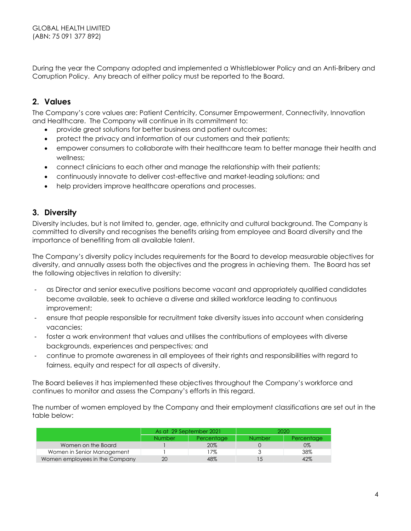During the year the Company adopted and implemented a Whistleblower Policy and an Anti-Bribery and Corruption Policy. Any breach of either policy must be reported to the Board.

#### **2. Values**

The Company's core values are: Patient Centricity, Consumer Empowerment, Connectivity, Innovation and Healthcare. The Company will continue in its commitment to:

- <span id="page-3-0"></span>provide great solutions for better business and patient outcomes;
- protect the privacy and information of our customers and their patients;
- empower consumers to collaborate with their healthcare team to better manage their health and wellness;
- connect clinicians to each other and manage the relationship with their patients;
- continuously innovate to deliver cost-effective and market-leading solutions; and
- help providers improve healthcare operations and processes.

#### **3. Diversity**

<span id="page-3-1"></span>Diversity includes, but is not limited to, gender, age, ethnicity and cultural background. The Company is committed to diversity and recognises the benefits arising from employee and Board diversity and the importance of benefiting from all available talent.

The Company's diversity policy includes requirements for the Board to develop measurable objectives for diversity, and annually assess both the objectives and the progress in achieving them. The Board has set the following objectives in relation to diversity:

- as Director and senior executive positions become vacant and appropriately qualified candidates become available, seek to achieve a diverse and skilled workforce leading to continuous improvement;
- ensure that people responsible for recruitment take diversity issues into account when considering vacancies;
- foster a work environment that values and utilises the contributions of employees with diverse backgrounds, experiences and perspectives; and
- continue to promote awareness in all employees of their rights and responsibilities with regard to fairness, equity and respect for all aspects of diversity.

The Board believes it has implemented these objectives throughout the Company's workforce and continues to monitor and assess the Company's efforts in this regard.

The number of women employed by the Company and their employment classifications are set out in the table below:

|                                | As at 29 September 2021 |            | 2020.         |            |
|--------------------------------|-------------------------|------------|---------------|------------|
|                                | <b>Number</b>           | Percentage | <b>Number</b> | Percentage |
| Women on the Board             |                         | 20%        |               | 0%         |
| Women in Senior Management     |                         | 17%        |               | 38%        |
| Women employees in the Company | 20                      | 48%        |               | 42%        |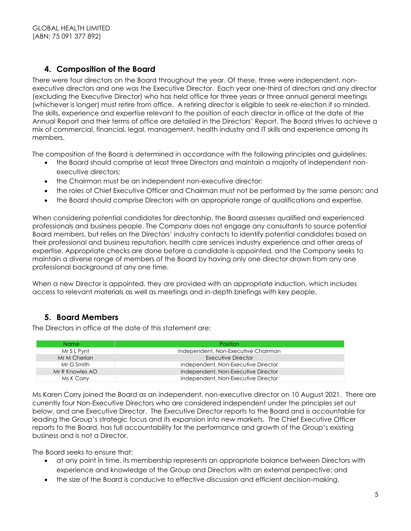## **4. Composition of the Board**

<span id="page-4-0"></span>There were four directors on the Board throughout the year. Of these, three were independent, nonexecutive directors and one was the Executive Director. Each year one-third of directors and any director (excluding the Executive Director) who has held office for three years or three annual general meetings (whichever is longer) must retire from office. A retiring director is eligible to seek re-election if so minded. The skills, experience and expertise relevant to the position of each director in office at the date of the Annual Report and their terms of office are detailed in the Directors' Report. The Board strives to achieve a mix of commercial, financial, legal, management, health industry and IT skills and experience among its members.

The composition of the Board is determined in accordance with the following principles and guidelines:

- the Board should comprise at least three Directors and maintain a majority of independent nonexecutive directors;
- the Chairman must be an independent non-executive director;
- the roles of Chief Executive Officer and Chairman must not be performed by the same person; and
- the Board should comprise Directors with an appropriate range of qualifications and expertise.

When considering potential candidates for directorship, the Board assesses qualified and experienced professionals and business people. The Company does not engage any consultants to source potential Board members, but relies on the Directors' industry contacts to identify potential candidates based on their professional and business reputation, health care services industry experience and other areas of expertise. Appropriate checks are done before a candidate is appointed, and the Company seeks to maintain a diverse range of members of the Board by having only one director drawn from any one professional background at any one time.

When a new Director is appointed, they are provided with an appropriate induction, which includes access to relevant materials as well as meetings and in-depth briefings with key people.

# **5. Board Members**

The Directors in office at the date of this statement are:

<span id="page-4-1"></span>

| Name            | <b>Position</b>                     |
|-----------------|-------------------------------------|
| Mr S L Pynt     | Independent, Non-Executive Chairman |
| Mr M Cherian    | Executive Director                  |
| Mr G Smith      | Independent, Non-Executive Director |
| Mr R Knowles AO | Independent, Non-Executive Director |
| Ms K Corry      | Independent, Non-Executive Director |

Ms Karen Corry joined the Board as an independent, non-executive director on 10 August 2021. There are currently four Non-Executive Directors who are considered independent under the principles set out below, and one Executive Director. The Executive Director reports to the Board and is accountable for leading the Group's strategic focus and its expansion into new markets. The Chief Executive Officer reports to the Board, has full accountability for the performance and growth of the Group's existing business and is not a Director.

The Board seeks to ensure that:

- at any point in time, its membership represents an appropriate balance between Directors with experience and knowledge of the Group and Directors with an external perspective; and
- the size of the Board is conducive to effective discussion and efficient decision-making.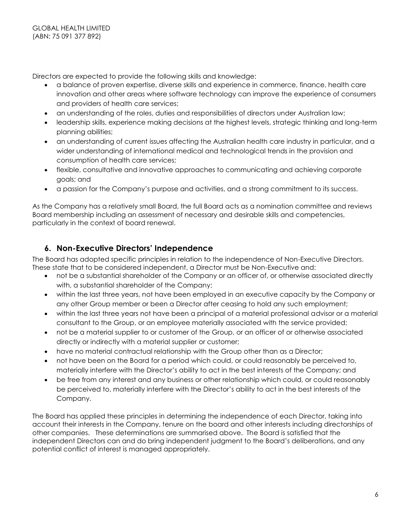Directors are expected to provide the following skills and knowledge:

- a balance of proven expertise, diverse skills and experience in commerce, finance, health care innovation and other areas where software technology can improve the experience of consumers and providers of health care services;
- an understanding of the roles, duties and responsibilities of directors under Australian law;
- leadership skills, experience making decisions at the highest levels, strategic thinking and long-term planning abilities;
- an understanding of current issues affecting the Australian health care industry in particular, and a wider understanding of international medical and technological trends in the provision and consumption of health care services;
- flexible, consultative and innovative approaches to communicating and achieving corporate goals; and
- a passion for the Company's purpose and activities, and a strong commitment to its success.

As the Company has a relatively small Board, the full Board acts as a nomination committee and reviews Board membership including an assessment of necessary and desirable skills and competencies, particularly in the context of board renewal.

# **6. Non-Executive Directors' Independence**

<span id="page-5-0"></span>The Board has adopted specific principles in relation to the independence of Non-Executive Directors. These state that to be considered independent, a Director must be Non-Executive and:

- not be a substantial shareholder of the Company or an officer of, or otherwise associated directly with, a substantial shareholder of the Company;
- within the last three years, not have been employed in an executive capacity by the Company or any other Group member or been a Director after ceasing to hold any such employment;
- within the last three years not have been a principal of a material professional advisor or a material consultant to the Group, or an employee materially associated with the service provided;
- not be a material supplier to or customer of the Group, or an officer of or otherwise associated directly or indirectly with a material supplier or customer;
- have no material contractual relationship with the Group other than as a Director;
- not have been on the Board for a period which could, or could reasonably be perceived to, materially interfere with the Director's ability to act in the best interests of the Company; and
- be free from any interest and any business or other relationship which could, or could reasonably be perceived to, materially interfere with the Director's ability to act in the best interests of the Company.

The Board has applied these principles in determining the independence of each Director, taking into account their interests in the Company, tenure on the board and other interests including directorships of other companies. These determinations are summarised above. The Board is satisfied that the independent Directors can and do bring independent judgment to the Board's deliberations, and any potential conflict of interest is managed appropriately.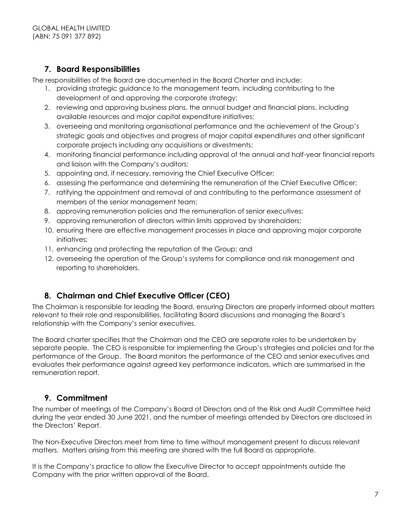# **7. Board Responsibilities**

The responsibilities of the Board are documented in the Board Charter and include:

- 1. providing strategic guidance to the management team, including contributing to the development of and approving the corporate strategy;
- <span id="page-6-0"></span>2. reviewing and approving business plans, the annual budget and financial plans, including available resources and major capital expenditure initiatives;
- 3. overseeing and monitoring organisational performance and the achievement of the Group's strategic goals and objectives and progress of major capital expenditures and other significant corporate projects including any acquisitions or divestments;
- 4. monitoring financial performance including approval of the annual and half-year financial reports and liaison with the Company's auditors;
- 5. appointing and, if necessary, removing the Chief Executive Officer;
- 6. assessing the performance and determining the remuneration of the Chief Executive Officer;
- 7. ratifying the appointment and removal of and contributing to the performance assessment of members of the senior management team;
- 8. approving remuneration policies and the remuneration of senior executives;
- 9. approving remuneration of directors within limits approved by shareholders;
- 10. ensuring there are effective management processes in place and approving major corporate initiatives;
- 11. enhancing and protecting the reputation of the Group; and
- 12. overseeing the operation of the Group's systems for compliance and risk management and reporting to shareholders.

# **8. Chairman and Chief Executive Officer (CEO)**

<span id="page-6-1"></span>The Chairman is responsible for leading the Board, ensuring Directors are properly informed about matters relevant to their role and responsibilities, facilitating Board discussions and managing the Board's relationship with the Company's senior executives.

The Board charter specifies that the Chairman and the CEO are separate roles to be undertaken by separate people. The CEO is responsible for implementing the Group's strategies and policies and for the performance of the Group. The Board monitors the performance of the CEO and senior executives and evaluates their performance against agreed key performance indicators, which are summarised in the remuneration report.

# **9. Commitment**

<span id="page-6-2"></span>The number of meetings of the Company's Board of Directors and of the Risk and Audit Committee held during the year ended 30 June 2021, and the number of meetings attended by Directors are disclosed in the Directors' Report.

The Non-Executive Directors meet from time to time without management present to discuss relevant matters. Matters arising from this meeting are shared with the full Board as appropriate.

It is the Company's practice to allow the Executive Director to accept appointments outside the Company with the prior written approval of the Board.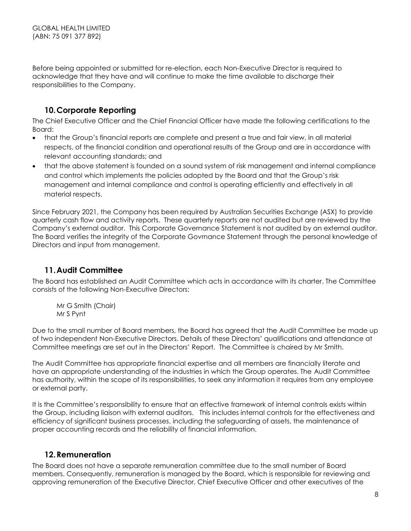Before being appointed or submitted for re-election, each Non-Executive Director is required to acknowledge that they have and will continue to make the time available to discharge their responsibilities to the Company.

# **10.Corporate Reporting**

The Chief Executive Officer and the Chief Financial Officer have made the following certifications to the Board:

- <span id="page-7-0"></span> that the Group's financial reports are complete and present a true and fair view, in all material respects, of the financial condition and operational results of the Group and are in accordance with relevant accounting standards; and
- that the above statement is founded on a sound system of risk management and internal compliance and control which implements the policies adopted by the Board and that the Group's risk management and internal compliance and control is operating efficiently and effectively in all material respects.

Since February 2021, the Company has been required by Australian Securities Exchange (ASX) to provide quarterly cash flow and activity reports. These quarterly reports are not audited but are reviewed by the Company's external auditor. This Corporate Governance Statement is not audited by an external auditor. The Board verifies the integrity of the Corporate Govrnance Statement through the personal knowledge of Directors and input from management.

# **11.Audit Committee**

<span id="page-7-1"></span>The Board has established an Audit Committee which acts in accordance with its charter. The Committee consists of the following Non-Executive Directors:

Mr G Smith (Chair) Mr S Pynt

Due to the small number of Board members, the Board has agreed that the Audit Committee be made up of two independent Non-Executive Directors. Details of these Directors' qualifications and attendance at Committee meetings are set out in the Directors' Report. The Committee is chaired by Mr Smith.

The Audit Committee has appropriate financial expertise and all members are financially literate and have an appropriate understanding of the industries in which the Group operates. The Audit Committee has authority, within the scope of its responsibilities, to seek any information it requires from any employee or external party.

It is the Committee's responsibility to ensure that an effective framework of internal controls exists within the Group, including liaison with external auditors. This includes internal controls for the effectiveness and efficiency of significant business processes, including the safeguarding of assets, the maintenance of proper accounting records and the reliability of financial information.

# **12.Remuneration**

<span id="page-7-2"></span>The Board does not have a separate remuneration committee due to the small number of Board members. Consequently, remuneration is managed by the Board, which is responsible for reviewing and approving remuneration of the Executive Director, Chief Executive Officer and other executives of the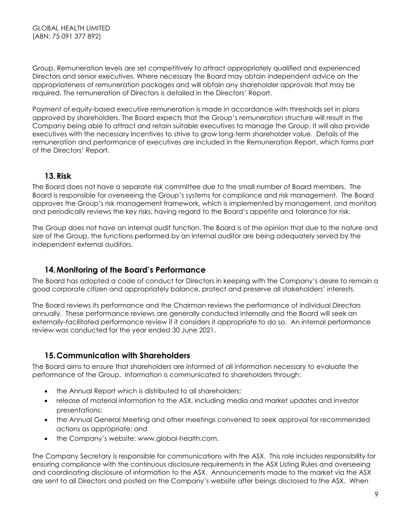Group. Remuneration levels are set competitively to attract appropriately qualified and experienced Directors and senior executives. Where necessary the Board may obtain independent advice on the appropriateness of remuneration packages and will obtain any shareholder approvals that may be required. The remuneration of Directors is detailed in the Directors' Report.

Payment of equity-based executive remuneration is made in accordance with thresholds set in plans approved by shareholders. The Board expects that the Group's remuneration structure will result in the Company being able to attract and retain suitable executives to manage the Group. It will also provide executives with the necessary incentives to strive to grow long-term shareholder value. Details of the remuneration and performance of executives are included in the Remuneration Report, which forms part of the Directors' Report.

#### **13.Risk**

<span id="page-8-0"></span>The Board does not have a separate risk committee due to the small number of Board members. The Board is responsible for overseeing the Group's systems for compliance and risk management. The Board approves the Group's risk management framework, which is implemented by management, and monitors and periodically reviews the key risks, having regard to the Board's appetite and tolerance for risk.

The Group does not have an internal audit function. The Board is of the opinion that due to the nature and size of the Group, the functions performed by an internal auditor are being adequately served by the independent external auditors.

### **14.Monitoring of the Board's Performance**

The Board has adopted a code of conduct for Directors in keeping with the Company's desire to remain a good corporate citizen and appropriately balance, protect and preserve all stakeholders' interests.

<span id="page-8-1"></span>The Board reviews its performance and the Chairman reviews the performance of individual Directors annually. These performance reviews are generally conducted internally and the Board will seek an externally-facilitated performance review if it considers it appropriate to do so. An internal performance review was conducted for the year ended 30 June 2021.

#### **15.Communication with Shareholders**

<span id="page-8-2"></span>The Board aims to ensure that shareholders are informed of all information necessary to evaluate the performance of the Group. Information is communicated to shareholders through:

- the Annual Report which is distributed to all shareholders;
- release of material information to the ASX, including media and market updates and investor presentations;
- the Annual General Meeting and other meetings convened to seek approval for recommended actions as appropriate; and
- the Company's website: [www.global-health.com.](http://www.global-health.com/)

The Company Secretary is responsible for communications with the ASX. This role includes responsibility for ensuring compliance with the continuous disclosure requirements in the ASX Listing Rules and overseeing and coordinating disclosure of information to the ASX. Announcements made to the market via the ASX are sent to all Directors and posted on the Company's website after beings disclosed to the ASX. When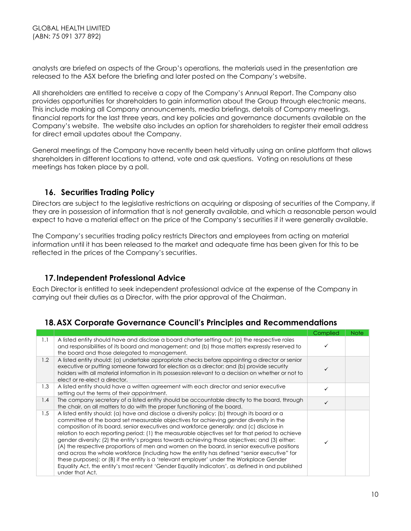analysts are briefed on aspects of the Group's operations, the materials used in the presentation are released to the ASX before the briefing and later posted on the Company's website.

All shareholders are entitled to receive a copy of the Company's Annual Report. The Company also provides opportunities for shareholders to gain information about the Group through electronic means. This include making all Company announcements, media briefings, details of Company meetings, financial reports for the last three years, and key policies and governance documents available on the Company's website. The website also includes an option for shareholders to register their email address for direct email updates about the Company.

General meetings of the Company have recently been held virtually using an online platform that allows shareholders in different locations to attend, vote and ask questions. Voting on resolutions at these meetings has taken place by a poll.

#### <span id="page-9-0"></span>**16. Securities Trading Policy**

Directors are subject to the legislative restrictions on acquiring or disposing of securities of the Company, if they are in possession of information that is not generally available, and which a reasonable person would expect to have a material effect on the price of the Company's securities if it were generally available.

The Company's securities trading policy restricts Directors and employees from acting on material information until it has been released to the market and adequate time has been given for this to be reflected in the prices of the Company's securities.

#### **17.Independent Professional Advice**

<span id="page-9-1"></span>Each Director is entitled to seek independent professional advice at the expense of the Company in carrying out their duties as a Director, with the prior approval of the Chairman.

#### **18.ASX Corporate Governance Council's Principles and Recommendations**

<span id="page-9-2"></span>

|     |                                                                                                                                                                                                                                                                                                                                                                                                                                                                                                                                                                                                                                                                                                                                                                                                                                                                                                            | Complied | <b>Note</b> |
|-----|------------------------------------------------------------------------------------------------------------------------------------------------------------------------------------------------------------------------------------------------------------------------------------------------------------------------------------------------------------------------------------------------------------------------------------------------------------------------------------------------------------------------------------------------------------------------------------------------------------------------------------------------------------------------------------------------------------------------------------------------------------------------------------------------------------------------------------------------------------------------------------------------------------|----------|-------------|
| 1.1 | A listed entity should have and disclose a board charter setting out: (a) the respective roles<br>and responsibilities of its board and management; and (b) those matters expressly reserved to<br>the board and those delegated to management.                                                                                                                                                                                                                                                                                                                                                                                                                                                                                                                                                                                                                                                            |          |             |
| 1.2 | A listed entity should: (a) undertake appropriate checks before appointing a director or senior<br>executive or putting someone forward for election as a director; and (b) provide security<br>holders with all material information in its possession relevant to a decision on whether or not to<br>elect or re-elect a director.                                                                                                                                                                                                                                                                                                                                                                                                                                                                                                                                                                       |          |             |
| 1.3 | A listed entity should have a written agreement with each director and senior executive<br>setting out the terms of their appointment.                                                                                                                                                                                                                                                                                                                                                                                                                                                                                                                                                                                                                                                                                                                                                                     |          |             |
| 1.4 | The company secretary of a listed entity should be accountable directly to the board, through<br>the chair, on all matters to do with the proper functioning of the board.                                                                                                                                                                                                                                                                                                                                                                                                                                                                                                                                                                                                                                                                                                                                 |          |             |
| 1.5 | A listed entity should: (a) have and disclose a diversity policy; (b) through its board or a<br>committee of the board set measurable objectives for achieving gender diversity in the<br>composition of its board, senior executives and workforce generally; and (c) disclose in<br>relation to each reporting period: (1) the measurable objectives set for that period to achieve<br>gender diversity; (2) the entity's progress towards achieving those objectives; and (3) either:<br>(A) the respective proportions of men and women on the board, in senior executive positions<br>and across the whole workforce (including how the entity has defined "senior executive" for<br>these purposes); or (B) if the entity is a 'relevant employer' under the Workplace Gender<br>Equality Act, the entity's most recent 'Gender Equality Indicators', as defined in and published<br>under that Act. |          |             |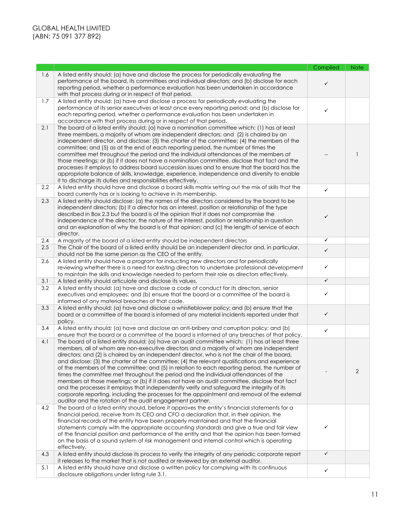|     |                                                                                                                                                                                                                                                                                                                                                                                                                                                                                                                                                                                                                                                                                                                                                                                                                                                                                                                                              | Complied     | <b>Note</b>    |
|-----|----------------------------------------------------------------------------------------------------------------------------------------------------------------------------------------------------------------------------------------------------------------------------------------------------------------------------------------------------------------------------------------------------------------------------------------------------------------------------------------------------------------------------------------------------------------------------------------------------------------------------------------------------------------------------------------------------------------------------------------------------------------------------------------------------------------------------------------------------------------------------------------------------------------------------------------------|--------------|----------------|
| 1.6 | A listed entity should: (a) have and disclose the process for periodically evaluating the<br>performance of the board, its committees and individual directors; and (b) disclose for each<br>reporting period, whether a performance evaluation has been undertaken in accordance<br>with that process during or in respect of that period.                                                                                                                                                                                                                                                                                                                                                                                                                                                                                                                                                                                                  | ✓            |                |
| 1.7 | A listed entity should: (a) have and disclose a process for periodically evaluating the<br>performance of its senior executives at least once every reporting period; and (b) disclose for<br>each reporting period, whether a performance evaluation has been undertaken in<br>accordance with that process during or in respect of that period.                                                                                                                                                                                                                                                                                                                                                                                                                                                                                                                                                                                            | ✓            |                |
| 2.1 | The board of a listed entity should: (a) have a nomination committee which: (1) has at least<br>three members, a majority of whom are independent directors; and (2) is chaired by an<br>independent director, and disclose: (3) the charter of the committee; (4) the members of the<br>committee; and (5) as at the end of each reporting period, the number of times the<br>committee met throughout the period and the individual attendances of the members at<br>those meetings; or (b) if it does not have a nomination committee, disclose that fact and the<br>processes it employs to address board succession issues and to ensure that the board has the<br>appropriate balance of skills, knowledge, experience, independence and diversity to enable<br>it to discharge its duties and responsibilities effectively.                                                                                                           |              | 1              |
| 2.2 | A listed entity should have and disclose a board skills matrix setting out the mix of skills that the<br>board currently has or is looking to achieve in its membership.                                                                                                                                                                                                                                                                                                                                                                                                                                                                                                                                                                                                                                                                                                                                                                     | $\checkmark$ |                |
| 2.3 | A listed entity should disclose: (a) the names of the directors considered by the board to be<br>independent directors; (b) if a director has an interest, position or relationship of the type<br>described in Box 2.3 but the board is of the opinion that it does not compromise the<br>independence of the director, the nature of the interest, position or relationship in question<br>and an explanation of why the board is of that opinion; and (c) the length of service of each<br>director.                                                                                                                                                                                                                                                                                                                                                                                                                                      | ✓            |                |
| 2.4 | A majority of the board of a listed entity should be independent directors                                                                                                                                                                                                                                                                                                                                                                                                                                                                                                                                                                                                                                                                                                                                                                                                                                                                   | ✓            |                |
| 2.5 | The Chair of the board of a listed entity should be an independent director and, in particular,<br>should not be the same person as the CEO of the entity.                                                                                                                                                                                                                                                                                                                                                                                                                                                                                                                                                                                                                                                                                                                                                                                   | $\checkmark$ |                |
| 2.6 | A listed entity should have a program for inducting new directors and for periodically<br>reviewing whether there is a need for existing directors to undertake professional development<br>to maintain the skills and knowledge needed to perform their role as directors effectively.                                                                                                                                                                                                                                                                                                                                                                                                                                                                                                                                                                                                                                                      | ✓            |                |
| 3.1 | A listed entity should articulate and disclose its values.                                                                                                                                                                                                                                                                                                                                                                                                                                                                                                                                                                                                                                                                                                                                                                                                                                                                                   | ✓            |                |
| 3.2 | A listed entity should: (a) have and disclose a code of conduct for its directors, senior<br>executives and employees; and (b) ensure that the board or a committee of the board is<br>informed of any material breaches of that code.                                                                                                                                                                                                                                                                                                                                                                                                                                                                                                                                                                                                                                                                                                       | ✓            |                |
| 3.3 | A listed entity should: (a) have and disclose a whistleblower policy; and (b) ensure that the<br>board or a committee of the board is informed of any material incidents reported under that<br>policy.                                                                                                                                                                                                                                                                                                                                                                                                                                                                                                                                                                                                                                                                                                                                      | $\checkmark$ |                |
| 3.4 | A listed entity should: (a) have and disclose an anti-bribery and corruption policy; and (b)<br>ensure that the board or a committee of the board is informed of any breaches of that policy.                                                                                                                                                                                                                                                                                                                                                                                                                                                                                                                                                                                                                                                                                                                                                | ✓            |                |
| 4.1 | The board of a listed entity should: (a) have an audit committee which: (1) has at least three<br>members, all of whom are non-executive directors and a majority of whom are independent<br>directors; and (2) is chaired by an independent director, who is not the chair of the board,<br>and disclose: (3) the charter of the committee; (4) the relevant qualifications and experience<br>of the members of the committee; and (5) in relation to each reporting period, the number of<br>times the committee met throughout the period and the individual attendances of the<br>members at those meetings; or (b) if it does not have an audit committee, disclose that fact<br>and the processes it employs that independently verify and safeguard the integrity of its<br>corporate reporting, including the processes for the appointment and removal of the external<br>auditor and the rotation of the audit engagement partner. |              | $\overline{2}$ |
| 4.2 | The board of a listed entity should, before it approves the entity's financial statements for a<br>financial period, receive from its CEO and CFO a declaration that, in their opinion, the<br>financial records of the entity have been properly maintained and that the financial<br>statements comply with the appropriate accounting standards and give a true and fair view<br>of the financial position and performance of the entity and that the opinion has been formed<br>on the basis of a sound system of risk management and internal control which is operating<br>effectively.                                                                                                                                                                                                                                                                                                                                                | ✓            |                |
| 4.3 | A listed entity should disclose its process to verify the integrity of any periodic corporate report<br>it releases to the market that is not audited or reviewed by an external auditor.                                                                                                                                                                                                                                                                                                                                                                                                                                                                                                                                                                                                                                                                                                                                                    | $\checkmark$ |                |
| 5.1 | A listed entity should have and disclose a written policy for complying with its continuous<br>disclosure obligations under listing rule 3.1.                                                                                                                                                                                                                                                                                                                                                                                                                                                                                                                                                                                                                                                                                                                                                                                                | $\checkmark$ |                |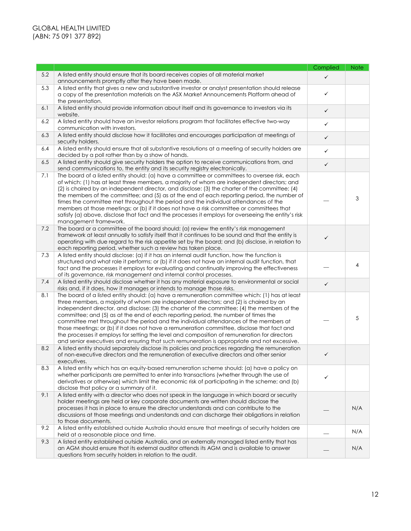|     |                                                                                                                                                                                                                                                                                                                                                                                                                                                                                                                                                                                                                                                                                                                                                                     | Complied     | <b>Note</b> |
|-----|---------------------------------------------------------------------------------------------------------------------------------------------------------------------------------------------------------------------------------------------------------------------------------------------------------------------------------------------------------------------------------------------------------------------------------------------------------------------------------------------------------------------------------------------------------------------------------------------------------------------------------------------------------------------------------------------------------------------------------------------------------------------|--------------|-------------|
| 5.2 | A listed entity should ensure that its board receives copies of all material market<br>announcements promptly after they have been made.                                                                                                                                                                                                                                                                                                                                                                                                                                                                                                                                                                                                                            | $\checkmark$ |             |
| 5.3 | A listed entity that gives a new and substantive investor or analyst presentation should release<br>a copy of the presentation materials on the ASX Market Announcements Platform ahead of<br>the presentation.                                                                                                                                                                                                                                                                                                                                                                                                                                                                                                                                                     | ✓            |             |
| 6.1 | A listed entity should provide information about itself and its governance to investors via its<br>website.                                                                                                                                                                                                                                                                                                                                                                                                                                                                                                                                                                                                                                                         | $\checkmark$ |             |
| 6.2 | A listed entity should have an investor relations program that facilitates effective two-way<br>communication with investors.                                                                                                                                                                                                                                                                                                                                                                                                                                                                                                                                                                                                                                       | $\checkmark$ |             |
| 6.3 | A listed entity should disclose how it facilitates and encourages participation at meetings of<br>security holders.                                                                                                                                                                                                                                                                                                                                                                                                                                                                                                                                                                                                                                                 | $\checkmark$ |             |
| 6.4 | A listed entity should ensure that all substantive resolutions at a meeting of security holders are<br>decided by a poll rather than by a show of hands.                                                                                                                                                                                                                                                                                                                                                                                                                                                                                                                                                                                                            | $\checkmark$ |             |
| 6.5 | A listed entity should give security holders the option to receive communications from, and<br>send communications to, the entity and its security registry electronically.                                                                                                                                                                                                                                                                                                                                                                                                                                                                                                                                                                                         | $\checkmark$ |             |
| 7.1 | The board of a listed entity should: (a) have a committee or committees to oversee risk, each<br>of which: (1) has at least three members, a majority of whom are independent directors; and<br>(2) is chaired by an independent director, and disclose: (3) the charter of the committee; (4)<br>the members of the committee; and (5) as at the end of each reporting period, the number of<br>times the committee met throughout the period and the individual attendances of the<br>members at those meetings; or (b) if it does not have a risk committee or committees that<br>satisfy (a) above, disclose that fact and the processes it employs for overseeing the entity's risk<br>management framework.                                                   |              | 3           |
| 7.2 | The board or a committee of the board should: (a) review the entity's risk management<br>framework at least annually to satisfy itself that it continues to be sound and that the entity is<br>operating with due regard to the risk appetite set by the board; and (b) disclose, in relation to<br>each reporting period, whether such a review has taken place.                                                                                                                                                                                                                                                                                                                                                                                                   | $\checkmark$ |             |
| 7.3 | A listed entity should disclose: (a) if it has an internal audit function, how the function is<br>structured and what role it performs; or (b) if it does not have an internal audit function, that<br>fact and the processes it employs for evaluating and continually improving the effectiveness<br>of its governance, risk management and internal control processes.                                                                                                                                                                                                                                                                                                                                                                                           |              | 4           |
| 7.4 | A listed entity should disclose whether it has any material exposure to environmental or social<br>risks and, if it does, how it manages or intends to manage those risks.                                                                                                                                                                                                                                                                                                                                                                                                                                                                                                                                                                                          | $\checkmark$ |             |
| 8.1 | The board of a listed entity should: (a) have a remuneration committee which: (1) has at least<br>three members, a majority of whom are independent directors; and (2) is chaired by an<br>independent director, and disclose: (3) the charter of the committee; (4) the members of the<br>committee; and (5) as at the end of each reporting period, the number of times the<br>committee met throughout the period and the individual attendances of the members at<br>those meetings; or (b) if it does not have a remuneration committee, disclose that fact and<br>the processes it employs for setting the level and composition of remuneration for directors<br>and senior executives and ensuring that such remuneration is appropriate and not excessive. |              | 5           |
| 8.2 | A listed entity should separately disclose its policies and practices regarding the remuneration<br>of non-executive directors and the remuneration of executive directors and other senior<br>executives.                                                                                                                                                                                                                                                                                                                                                                                                                                                                                                                                                          | ✓            |             |
| 8.3 | A listed entity which has an equity-based remuneration scheme should: (a) have a policy on<br>whether participants are permitted to enter into transactions (whether through the use of<br>derivatives or otherwise) which limit the economic risk of participating in the scheme; and (b)<br>disclose that policy or a summary of it.                                                                                                                                                                                                                                                                                                                                                                                                                              | ✓            |             |
| 9.1 | A listed entity with a director who does not speak in the language in which board or security<br>holder meetings are held or key corporate documents are written should disclose the<br>processes it has in place to ensure the director understands and can contribute to the<br>discussions at those meetings and understands and can discharge their obligations in relation<br>to those documents.                                                                                                                                                                                                                                                                                                                                                              |              | N/A         |
| 9.2 | A listed entity established outside Australia should ensure that meetings of security holders are<br>held at a reasonable place and time.                                                                                                                                                                                                                                                                                                                                                                                                                                                                                                                                                                                                                           |              | N/A         |
| 9.3 | A listed entity established outside Australia, and an externally managed listed entity that has<br>an AGM should ensure that its external auditor attends its AGM and is available to answer<br>questions from security holders in relation to the audit.                                                                                                                                                                                                                                                                                                                                                                                                                                                                                                           |              | N/A         |